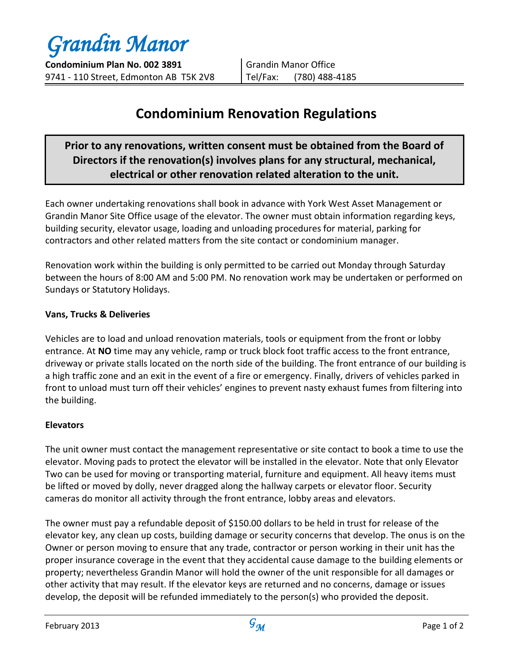*Grandin Manor*

**Condominium Plan No. 002 3891** 9741 - 110 Street, Edmonton AB T5K 2V8

Grandin Manor Office Tel/Fax: (780) 488-4185

# **Condominium Renovation Regulations**

## **Prior to any renovations, written consent must be obtained from the Board of Directors if the renovation(s) involves plans for any structural, mechanical, electrical or other renovation related alteration to the unit.**

Each owner undertaking renovations shall book in advance with York West Asset Management or Grandin Manor Site Office usage of the elevator. The owner must obtain information regarding keys, building security, elevator usage, loading and unloading procedures for material, parking for contractors and other related matters from the site contact or condominium manager.

Renovation work within the building is only permitted to be carried out Monday through Saturday between the hours of 8:00 AM and 5:00 PM. No renovation work may be undertaken or performed on Sundays or Statutory Holidays.

### **Vans, Trucks & Deliveries**

Vehicles are to load and unload renovation materials, tools or equipment from the front or lobby entrance. At **NO** time may any vehicle, ramp or truck block foot traffic access to the front entrance, driveway or private stalls located on the north side of the building. The front entrance of our building is a high traffic zone and an exit in the event of a fire or emergency. Finally, drivers of vehicles parked in front to unload must turn off their vehicles' engines to prevent nasty exhaust fumes from filtering into the building.

### **Elevators**

The unit owner must contact the management representative or site contact to book a time to use the elevator. Moving pads to protect the elevator will be installed in the elevator. Note that only Elevator Two can be used for moving or transporting material, furniture and equipment. All heavy items must be lifted or moved by dolly, never dragged along the hallway carpets or elevator floor. Security cameras do monitor all activity through the front entrance, lobby areas and elevators.

The owner must pay a refundable deposit of \$150.00 dollars to be held in trust for release of the elevator key, any clean up costs, building damage or security concerns that develop. The onus is on the Owner or person moving to ensure that any trade, contractor or person working in their unit has the proper insurance coverage in the event that they accidental cause damage to the building elements or property; nevertheless Grandin Manor will hold the owner of the unit responsible for all damages or other activity that may result. If the elevator keys are returned and no concerns, damage or issues develop, the deposit will be refunded immediately to the person(s) who provided the deposit.